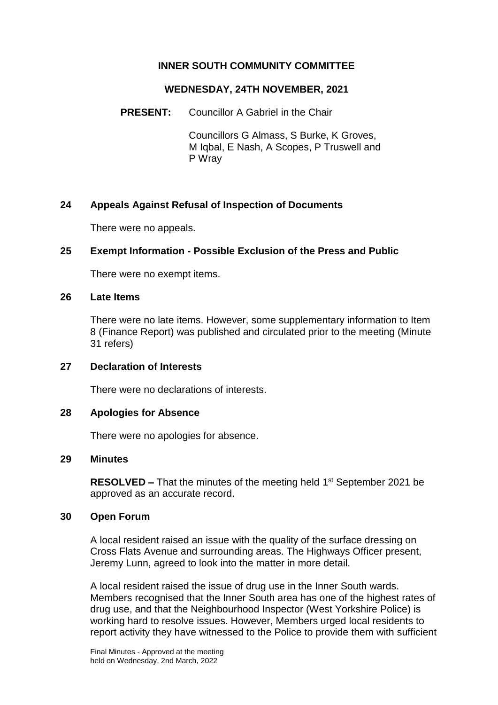# **INNER SOUTH COMMUNITY COMMITTEE**

## **WEDNESDAY, 24TH NOVEMBER, 2021**

**PRESENT:** Councillor A Gabriel in the Chair

Councillors G Almass, S Burke, K Groves, M Iqbal, E Nash, A Scopes, P Truswell and P Wray

# **24 Appeals Against Refusal of Inspection of Documents**

There were no appeals.

## **25 Exempt Information - Possible Exclusion of the Press and Public**

There were no exempt items.

#### **26 Late Items**

There were no late items. However, some supplementary information to Item 8 (Finance Report) was published and circulated prior to the meeting (Minute 31 refers)

## **27 Declaration of Interests**

There were no declarations of interests.

## **28 Apologies for Absence**

There were no apologies for absence.

## **29 Minutes**

**RESOLVED –** That the minutes of the meeting held 1<sup>st</sup> September 2021 be approved as an accurate record.

## **30 Open Forum**

A local resident raised an issue with the quality of the surface dressing on Cross Flats Avenue and surrounding areas. The Highways Officer present, Jeremy Lunn, agreed to look into the matter in more detail.

A local resident raised the issue of drug use in the Inner South wards. Members recognised that the Inner South area has one of the highest rates of drug use, and that the Neighbourhood Inspector (West Yorkshire Police) is working hard to resolve issues. However, Members urged local residents to report activity they have witnessed to the Police to provide them with sufficient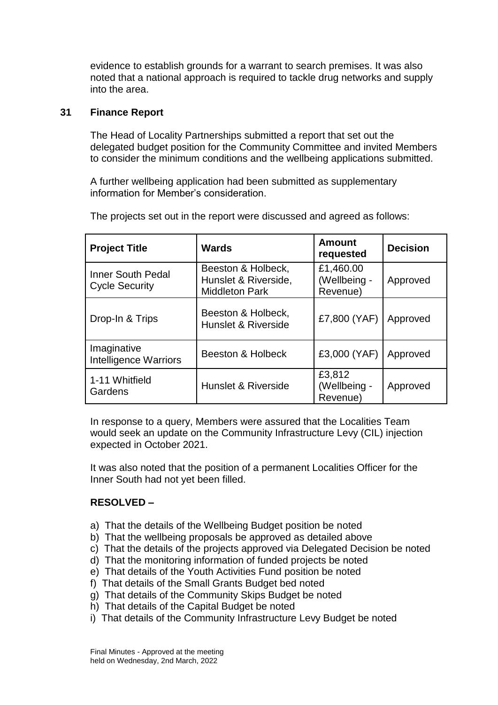evidence to establish grounds for a warrant to search premises. It was also noted that a national approach is required to tackle drug networks and supply into the area.

#### **31 Finance Report**

The Head of Locality Partnerships submitted a report that set out the delegated budget position for the Community Committee and invited Members to consider the minimum conditions and the wellbeing applications submitted.

A further wellbeing application had been submitted as supplementary information for Member's consideration.

| <b>Project Title</b>                              | <b>Wards</b>                                                        | <b>Amount</b><br>requested            | <b>Decision</b> |
|---------------------------------------------------|---------------------------------------------------------------------|---------------------------------------|-----------------|
| <b>Inner South Pedal</b><br><b>Cycle Security</b> | Beeston & Holbeck,<br>Hunslet & Riverside,<br><b>Middleton Park</b> | £1,460.00<br>(Wellbeing -<br>Revenue) | Approved        |
| Drop-In & Trips                                   | Beeston & Holbeck,<br>Hunslet & Riverside                           | £7,800 (YAF)                          | Approved        |
| Imaginative<br><b>Intelligence Warriors</b>       | Beeston & Holbeck                                                   | £3,000 (YAF)                          | Approved        |
| 1-11 Whitfield<br>Gardens                         | Hunslet & Riverside                                                 | £3,812<br>(Wellbeing -<br>Revenue)    | Approved        |

The projects set out in the report were discussed and agreed as follows:

In response to a query, Members were assured that the Localities Team would seek an update on the Community Infrastructure Levy (CIL) injection expected in October 2021.

It was also noted that the position of a permanent Localities Officer for the Inner South had not yet been filled.

## **RESOLVED –**

- a) That the details of the Wellbeing Budget position be noted
- b) That the wellbeing proposals be approved as detailed above
- c) That the details of the projects approved via Delegated Decision be noted
- d) That the monitoring information of funded projects be noted
- e) That details of the Youth Activities Fund position be noted
- f) That details of the Small Grants Budget bed noted
- g) That details of the Community Skips Budget be noted
- h) That details of the Capital Budget be noted
- i) That details of the Community Infrastructure Levy Budget be noted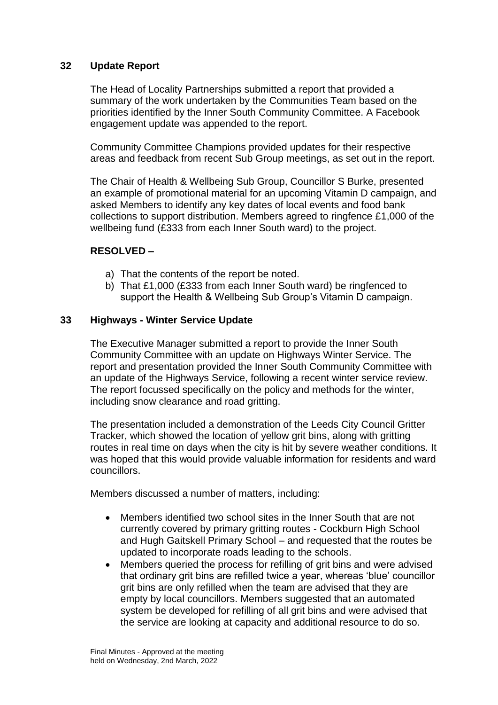# **32 Update Report**

The Head of Locality Partnerships submitted a report that provided a summary of the work undertaken by the Communities Team based on the priorities identified by the Inner South Community Committee. A Facebook engagement update was appended to the report.

Community Committee Champions provided updates for their respective areas and feedback from recent Sub Group meetings, as set out in the report.

The Chair of Health & Wellbeing Sub Group, Councillor S Burke, presented an example of promotional material for an upcoming Vitamin D campaign, and asked Members to identify any key dates of local events and food bank collections to support distribution. Members agreed to ringfence £1,000 of the wellbeing fund (£333 from each Inner South ward) to the project.

## **RESOLVED –**

- a) That the contents of the report be noted.
- b) That £1,000 (£333 from each Inner South ward) be ringfenced to support the Health & Wellbeing Sub Group's Vitamin D campaign.

## **33 Highways - Winter Service Update**

The Executive Manager submitted a report to provide the Inner South Community Committee with an update on Highways Winter Service. The report and presentation provided the Inner South Community Committee with an update of the Highways Service, following a recent winter service review. The report focussed specifically on the policy and methods for the winter, including snow clearance and road gritting.

The presentation included a demonstration of the Leeds City Council Gritter Tracker, which showed the location of yellow grit bins, along with gritting routes in real time on days when the city is hit by severe weather conditions. It was hoped that this would provide valuable information for residents and ward councillors.

Members discussed a number of matters, including:

- Members identified two school sites in the Inner South that are not currently covered by primary gritting routes - Cockburn High School and Hugh Gaitskell Primary School – and requested that the routes be updated to incorporate roads leading to the schools.
- Members queried the process for refilling of grit bins and were advised that ordinary grit bins are refilled twice a year, whereas 'blue' councillor grit bins are only refilled when the team are advised that they are empty by local councillors. Members suggested that an automated system be developed for refilling of all grit bins and were advised that the service are looking at capacity and additional resource to do so.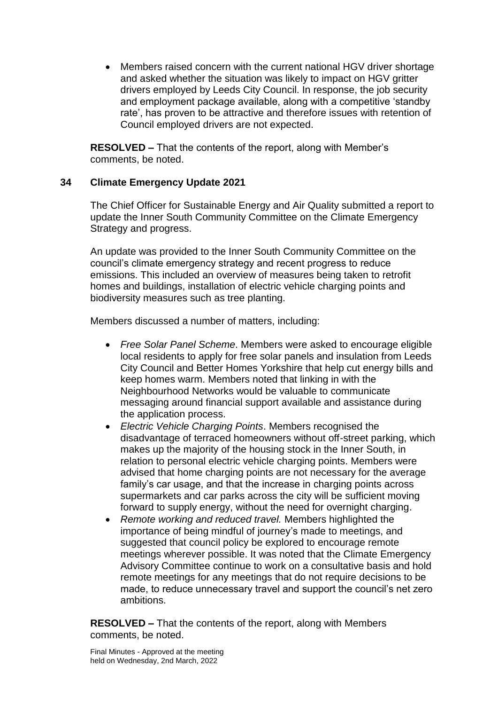Members raised concern with the current national HGV driver shortage and asked whether the situation was likely to impact on HGV gritter drivers employed by Leeds City Council. In response, the job security and employment package available, along with a competitive 'standby rate', has proven to be attractive and therefore issues with retention of Council employed drivers are not expected.

**RESOLVED –** That the contents of the report, along with Member's comments, be noted.

# **34 Climate Emergency Update 2021**

The Chief Officer for Sustainable Energy and Air Quality submitted a report to update the Inner South Community Committee on the Climate Emergency Strategy and progress.

An update was provided to the Inner South Community Committee on the council's climate emergency strategy and recent progress to reduce emissions. This included an overview of measures being taken to retrofit homes and buildings, installation of electric vehicle charging points and biodiversity measures such as tree planting.

Members discussed a number of matters, including:

- *Free Solar Panel Scheme*. Members were asked to encourage eligible local residents to apply for free solar panels and insulation from Leeds City Council and Better Homes Yorkshire that help cut energy bills and keep homes warm. Members noted that linking in with the Neighbourhood Networks would be valuable to communicate messaging around financial support available and assistance during the application process.
- *Electric Vehicle Charging Points*. Members recognised the disadvantage of terraced homeowners without off-street parking, which makes up the majority of the housing stock in the Inner South, in relation to personal electric vehicle charging points. Members were advised that home charging points are not necessary for the average family's car usage, and that the increase in charging points across supermarkets and car parks across the city will be sufficient moving forward to supply energy, without the need for overnight charging.
- *Remote working and reduced travel.* Members highlighted the importance of being mindful of journey's made to meetings, and suggested that council policy be explored to encourage remote meetings wherever possible. It was noted that the Climate Emergency Advisory Committee continue to work on a consultative basis and hold remote meetings for any meetings that do not require decisions to be made, to reduce unnecessary travel and support the council's net zero ambitions.

**RESOLVED –** That the contents of the report, along with Members comments, be noted.